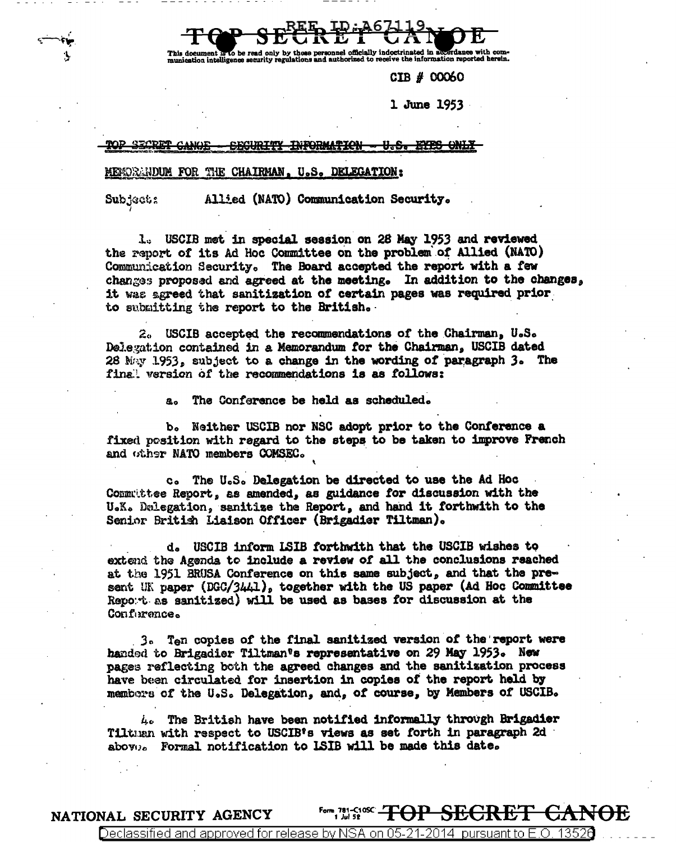ocument is to be read only by those personnel officially indoctrinated in a<br>ation intelligence security regulations and authorized to receive the informat *<u>Ardanaa</u>* with the information reported herein.

CIB # 00060

1 June 1953

**TNFORMATION** 

## MENORMUOM FOR THE CHAIRMAN, U.S. DELEGATION:

**Subjects** 

Allied (NATO) Communication Security.

1. USCIB met in special session on 28 May 1953 and reviewed the report of its Ad Hoc Committee on the problem of Allied (NATO) Communication Security. The Board accepted the report with a few changes proposed and agreed at the meeting. In addition to the changes, it was agreed that sanitization of certain pages was required prior. to submitting the report to the British.

2. USCIB accepted the recommendations of the Chairman, U.S. Delegation contained in a Memorandum for the Chairman, USCIB dated 28 May 1953, subject to a change in the wording of paragraph 3. The final version of the recommendations is as follows:

> The Conference be held as scheduled.  $a<sub>o</sub>$

b. Neither USCIB nor NSC adopt prior to the Conference a fixed position with regard to the steps to be taken to improve French and other NATO members COMSEC.

c. The U.S. Delegation be directed to use the Ad Hoc Commuttee Report, as amended, as guidance for discussion with the U.K. Delegation, sanitize the Report, and hand it forthwith to the Senior British Liaison Officer (Brigadier Tiltman).

d. USCIB inform LSIB forthwith that the USCIB wishes to extend the Agenda to include a review of all the conclusions reached at the 1951 BRUSA Conference on this same subject, and that the present UK paper (DGC/3441), together with the US paper (Ad Hoc Committee Report as sanitized) will be used as bases for discussion at the Conforence.

3. Ten copies of the final sanitized version of the report were handed to Brigadier Tiltman's representative on 29 May 1953. New pages reflecting both the agreed changes and the sanitization process have been circulated for insertion in copies of the report held by mambers of the U.S. Delegation, and, of course, by Members of USCIB.

4. The British have been notified informally through Brigadier Tiltuan with respect to USCIB's views as set forth in paragraph 2d abovo. Formal notification to LSIB will be made this date.

<del>NOE</del> NATIONAL SECURITY AGENCY

Declassified and approved for